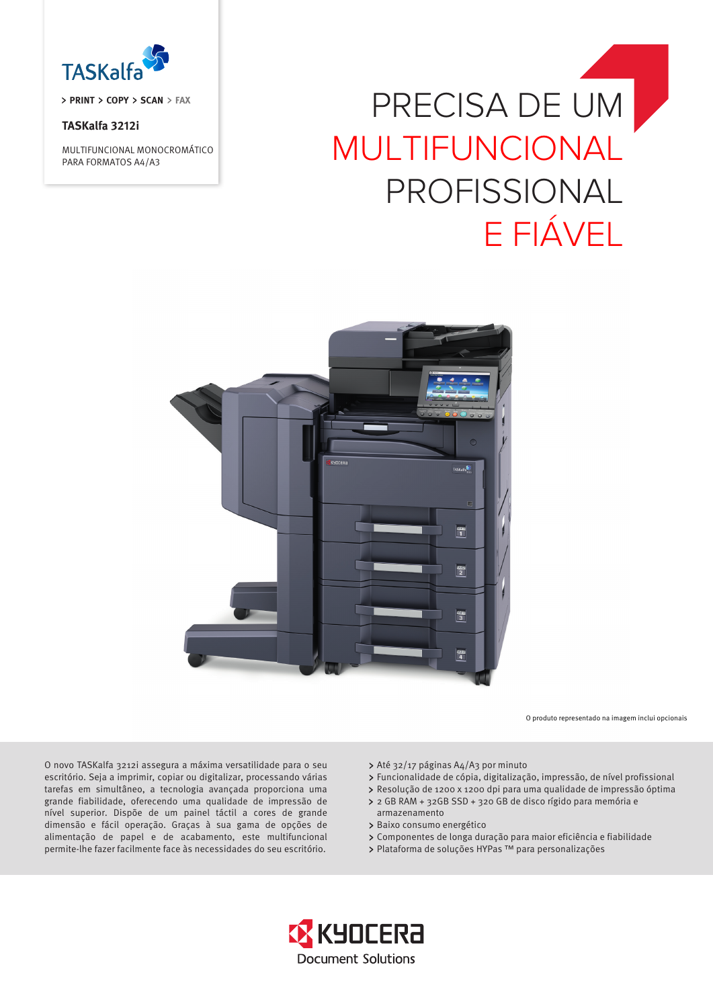

**PRINT > COPY > SCAN > FAX** 

# **TASKalfa 3212i**

MULTIFUNCIONAL MONOCROMÁTICO PARA FORMATOS A4/A3

# PRECISA DE UM MULTIFUNCIONAL PROFISSIONAL E FIÁVEL



O produto representado na imagem inclui opcionais

O novo TASKalfa 3212i assegura a máxima versatilidade para o seu escritório. Seja a imprimir, copiar ou digitalizar, processando várias tarefas em simultâneo, a tecnologia avançada proporciona uma grande fiabilidade, oferecendo uma qualidade de impressão de nível superior. Dispõe de um painel táctil a cores de grande dimensão e fácil operação. Graças à sua gama de opções de alimentação de papel e de acabamento, este multifuncional permite-lhe fazer facilmente face às necessidades do seu escritório.

- Até 32/17 páginas A4/A3 por minuto
- Funcionalidade de cópia, digitalização, impressão, de nível profissional
- Resolução de 1200 x 1200 dpi para uma qualidade de impressão óptima
- 2 GB RAM + 32GB SSD + 320 GB de disco rígido para memória e armazenamento
- > Baixo consumo energético
- Componentes de longa duração para maior eficiência e fiabilidade
- > Plataforma de soluções HYPas ™ para personalizações